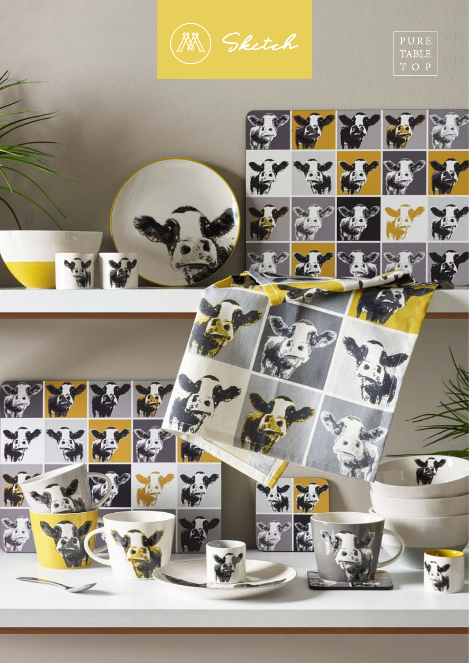Sketch



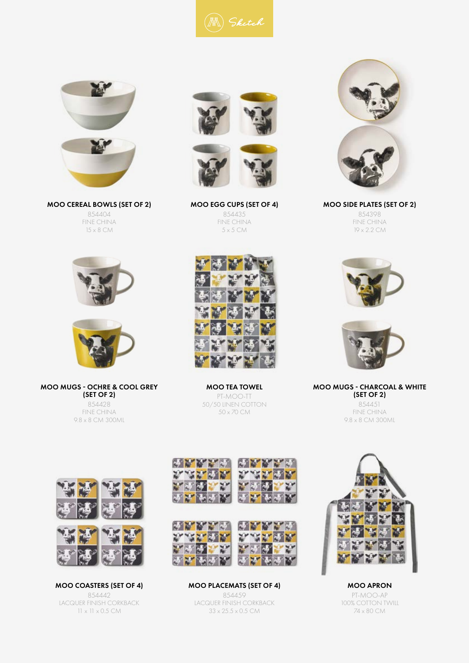



MOO CEREAL BOWLS (SET OF 2) 854404 FINE CHINA 15 x 8 CM





MOO MUGS - OCHRE & COOL GREY (SET OF 2) 854428

FINE CHINA 9.8 x 8 CM 300ML





MOO EGG CUPS (SET OF 4) 854435 FINE CHINA 5 x 5 CM



MOO SIDE PLATES (SET OF 2) 854398 FINE CHINA 19 x 2.2 CM





MOO MUGS - CHARCOAL & WHITE (SET OF 2) 854451 FINE CHINA 9.8 x 8 CM 300ML





MOO COASTERS (SET OF 4) 854442 LACQUER FINISH CORKBACK 11 x 11 x 0.5 CM



MOO TEA TOWEL PT-MOO-TT 50/50 LINEN COTTON 50 x 70 CM



MOO PLACEMATS (SET OF 4) 854459 LACQUER FINISH CORKBACK 33 x 25.5 x 0.5 CM



MOO APRON PT-MOO-AP 100% COTTON TWILL 74 x 80 CM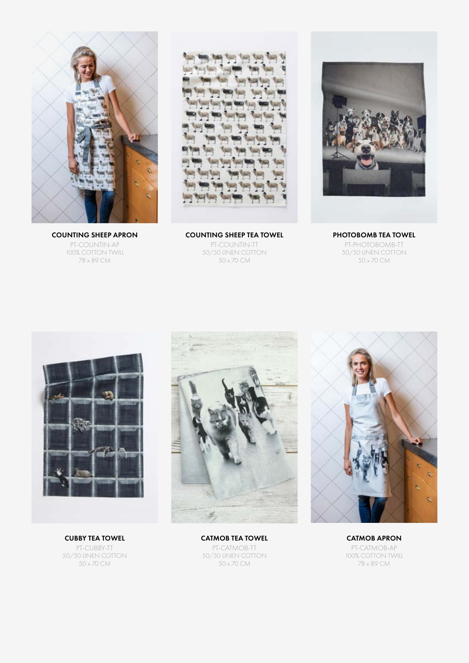

COUNTING SHEEP APRON PT-COUNTIN-AP 100% COTTON TWILL 78 x 89 CM

COUNTING SHEEP TEA TOWEL PT-COUNTIN-TT 50/50 LINEN COTTON 50 x 70 CM



PHOTOBOMB TEA TOWEL PT-PHOTOBOMB-TT 50/50 LINEN COTTON 50 x 70 CM



CUBBY TEA TOWEL PT-CUBBY-TT 50/50 LINEN COTTON 50 x 70 CM





CATMOB TEA TOWEL PT-CATMOB-TT 50/50 LINEN COTTON 50 x 70 CM

CATMOB APRON PT-CATMOB-AP 100% COTTON TWILL 78 x 89 CM